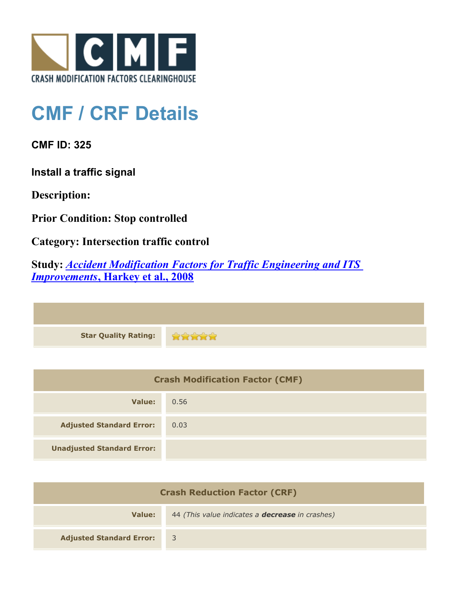

## **CMF / CRF Details**

**CMF ID: 325**

**Install a traffic signal**

**Description:** 

**Prior Condition: Stop controlled**

**Category: Intersection traffic control**

**Study:** *[Accident Modification Factors for Traffic Engineering and ITS](http://www.cmfclearinghouse.org/study_detail.cfm?stid=22) [Improvements](http://www.cmfclearinghouse.org/study_detail.cfm?stid=22)***[, Harkey et al., 2008](http://www.cmfclearinghouse.org/study_detail.cfm?stid=22)**

| Star Quality Rating: |  |
|----------------------|--|

| <b>Crash Modification Factor (CMF)</b> |      |
|----------------------------------------|------|
| Value:                                 | 0.56 |
| <b>Adjusted Standard Error:</b>        | 0.03 |
| <b>Unadjusted Standard Error:</b>      |      |

| <b>Crash Reduction Factor (CRF)</b> |                                                        |
|-------------------------------------|--------------------------------------------------------|
| Value:                              | 44 (This value indicates a <b>decrease</b> in crashes) |
| <b>Adjusted Standard Error:</b>     |                                                        |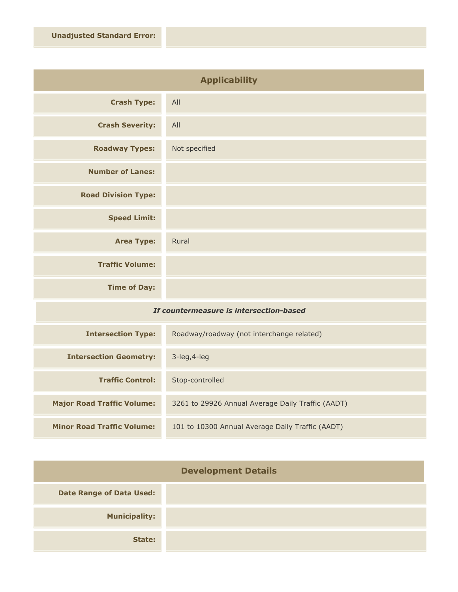| <b>Applicability</b>       |               |
|----------------------------|---------------|
| <b>Crash Type:</b>         | All           |
| <b>Crash Severity:</b>     | All           |
| <b>Roadway Types:</b>      | Not specified |
| <b>Number of Lanes:</b>    |               |
| <b>Road Division Type:</b> |               |
| <b>Speed Limit:</b>        |               |
| <b>Area Type:</b>          | Rural         |
| <b>Traffic Volume:</b>     |               |
| <b>Time of Day:</b>        |               |

## *If countermeasure is intersection-based*

| <b>Intersection Type:</b>         | Roadway/roadway (not interchange related)         |
|-----------------------------------|---------------------------------------------------|
| <b>Intersection Geometry:</b>     | $3$ -leg, $4$ -leg                                |
| <b>Traffic Control:</b>           | Stop-controlled                                   |
| <b>Major Road Traffic Volume:</b> | 3261 to 29926 Annual Average Daily Traffic (AADT) |
| <b>Minor Road Traffic Volume:</b> | 101 to 10300 Annual Average Daily Traffic (AADT)  |

| <b>Development Details</b>      |  |
|---------------------------------|--|
| <b>Date Range of Data Used:</b> |  |
| <b>Municipality:</b>            |  |
| State:                          |  |